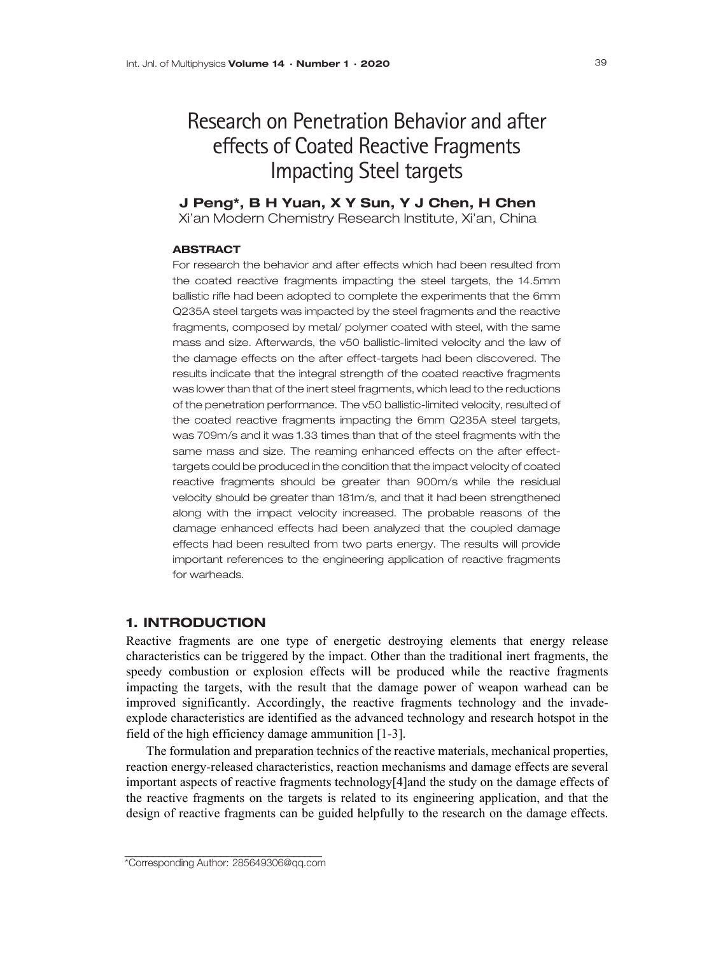# Research on Penetration Behavior and after effects of Coated Reactive Fragments Impacting Steel targets

# J Peng\*, B H Yuan, X Y Sun, Y J Chen, H Chen

Xi'an Modern Chemistry Research Institute, Xi'an, China

## **ABSTRACT**

For research the behavior and after effects which had been resulted from the coated reactive fragments impacting the steel targets, the 14.5mm ballistic rifle had been adopted to complete the experiments that the 6mm Q235A steel targets was impacted by the steel fragments and the reactive fragments, composed by metal/ polymer coated with steel, with the same mass and size. Afterwards, the v50 ballistic-limited velocity and the law of the damage effects on the after effect-targets had been discovered. The results indicate that the integral strength of the coated reactive fragments was lower than that of the inert steel fragments, which lead to the reductions of the penetration performance. The v50 ballistic-limited velocity, resulted of the coated reactive fragments impacting the 6mm Q235A steel targets, was 709m/s and it was 1.33 times than that of the steel fragments with the same mass and size. The reaming enhanced effects on the after effecttargets could be produced in the condition that the impact velocity of coated reactive fragments should be greater than 900m/s while the residual velocity should be greater than 181m/s, and that it had been strengthened along with the impact velocity increased. The probable reasons of the damage enhanced effects had been analyzed that the coupled damage effects had been resulted from two parts energy. The results will provide important references to the engineering application of reactive fragments for warheads.

## 1. INTRODUCTION

Reactive fragments are one type of energetic destroying elements that energy release characteristics can be triggered by the impact. Other than the traditional inert fragments, the speedy combustion or explosion effects will be produced while the reactive fragments impacting the targets, with the result that the damage power of weapon warhead can be improved significantly. Accordingly, the reactive fragments technology and the invadeexplode characteristics are identified as the advanced technology and research hotspot in the field of the high efficiency damage ammunition [1-3].

The formulation and preparation technics of the reactive materials, mechanical properties, reaction energy-released characteristics, reaction mechanisms and damage effects are several important aspects of reactive fragments technology[4]and the study on the damage effects of the reactive fragments on the targets is related to its engineering application, and that the design of reactive fragments can be guided helpfully to the research on the damage effects.

\_\_\_\_\_\_\_\_\_\_\_\_\_\_\_\_\_\_\_\_\_\_\_\_\_\_\_\_\_\_\_\_\_\_\_ \*Corresponding Author: 285649306@qq.com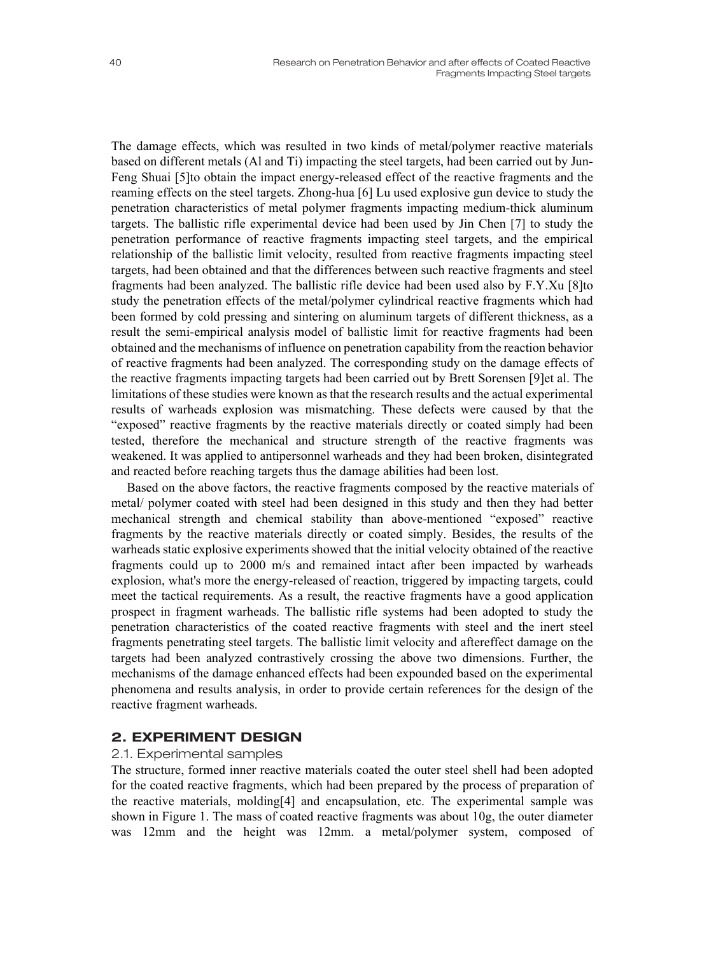The damage effects, which was resulted in two kinds of metal/polymer reactive materials based on different metals (Al and Ti) impacting the steel targets, had been carried out by Jun-Feng Shuai [5]to obtain the impact energy-released effect of the reactive fragments and the

reaming effects on the steel targets. Zhong-hua [6] Lu used explosive gun device to study the penetration characteristics of metal polymer fragments impacting medium-thick aluminum targets. The ballistic rifle experimental device had been used by Jin Chen [7] to study the penetration performance of reactive fragments impacting steel targets, and the empirical relationship of the ballistic limit velocity, resulted from reactive fragments impacting steel targets, had been obtained and that the differences between such reactive fragments and steel fragments had been analyzed. The ballistic rifle device had been used also by F.Y.Xu [8]to study the penetration effects of the metal/polymer cylindrical reactive fragments which had been formed by cold pressing and sintering on aluminum targets of different thickness, as a result the semi-empirical analysis model of ballistic limit for reactive fragments had been obtained and the mechanisms of influence on penetration capability from the reaction behavior of reactive fragments had been analyzed. The corresponding study on the damage effects of the reactive fragments impacting targets had been carried out by Brett Sorensen [9]et al. The limitations of these studies were known as that the research results and the actual experimental results of warheads explosion was mismatching. These defects were caused by that the "exposed" reactive fragments by the reactive materials directly or coated simply had been tested, therefore the mechanical and structure strength of the reactive fragments was weakened. It was applied to antipersonnel warheads and they had been broken, disintegrated and reacted before reaching targets thus the damage abilities had been lost.

Based on the above factors, the reactive fragments composed by the reactive materials of metal/ polymer coated with steel had been designed in this study and then they had better mechanical strength and chemical stability than above-mentioned "exposed" reactive fragments by the reactive materials directly or coated simply. Besides, the results of the warheads static explosive experiments showed that the initial velocity obtained of the reactive fragments could up to 2000 m/s and remained intact after been impacted by warheads explosion, what's more the energy-released of reaction, triggered by impacting targets, could meet the tactical requirements. As a result, the reactive fragments have a good application prospect in fragment warheads. The ballistic rifle systems had been adopted to study the penetration characteristics of the coated reactive fragments with steel and the inert steel fragments penetrating steel targets. The ballistic limit velocity and aftereffect damage on the targets had been analyzed contrastively crossing the above two dimensions. Further, the mechanisms of the damage enhanced effects had been expounded based on the experimental phenomena and results analysis, in order to provide certain references for the design of the reactive fragment warheads.

# 2. EXPERIMENT DESIGN

### 2.1. Experimental samples

The structure, formed inner reactive materials coated the outer steel shell had been adopted for the coated reactive fragments, which had been prepared by the process of preparation of the reactive materials, molding[4] and encapsulation, etc. The experimental sample was shown in Figure 1. The mass of coated reactive fragments was about 10g, the outer diameter was 12mm and the height was 12mm. a metal/polymer system, composed of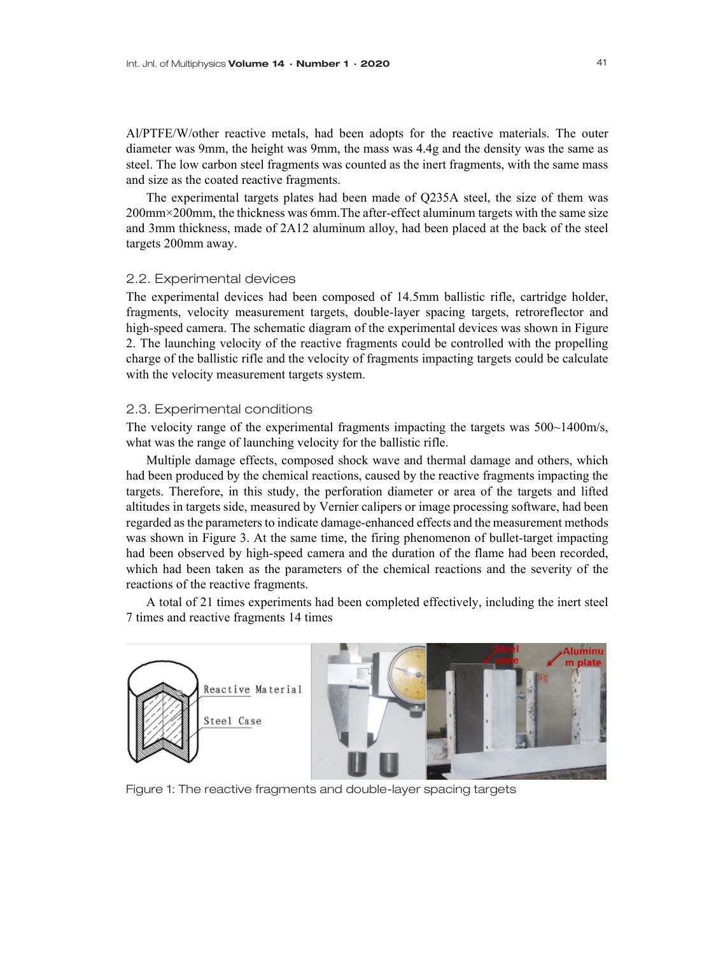Al/PTFE/W/other reactive metals, had been adopts for the reactive materials. The outer diameter was 9mm, the height was 9mm, the mass was 4.4g and the density was the same as steel. The low carbon steel fragments was counted as the inert fragments, with the same mass and size as the coated reactive fragments.

The experimental targets plates had been made of Q235A steel, the size of them was 200mm×200mm, the thickness was 6mm.The after-effect aluminum targets with the same size and 3mm thickness, made of 2A12 aluminum alloy, had been placed at the back of the steel targets 200mm away.

#### 2.2. Experimental devices

The experimental devices had been composed of 14.5mm ballistic rifle, cartridge holder, fragments, velocity measurement targets, double-layer spacing targets, retroreflector and high-speed camera. The schematic diagram of the experimental devices was shown in Figure 2. The launching velocity of the reactive fragments could be controlled with the propelling charge of the ballistic rifle and the velocity of fragments impacting targets could be calculate with the velocity measurement targets system.

#### 2.3. Experimental conditions

The velocity range of the experimental fragments impacting the targets was 500~1400m/s, what was the range of launching velocity for the ballistic rifle.

Multiple damage effects, composed shock wave and thermal damage and others, which had been produced by the chemical reactions, caused by the reactive fragments impacting the targets. Therefore, in this study, the perforation diameter or area of the targets and lifted altitudes in targets side, measured by Vernier calipers or image processing software, had been regarded as the parameters to indicate damage-enhanced effects and the measurement methods was shown in Figure 3. At the same time, the firing phenomenon of bullet-target impacting had been observed by high-speed camera and the duration of the flame had been recorded, which had been taken as the parameters of the chemical reactions and the severity of the reactions of the reactive fragments.

A total of 21 times experiments had been completed effectively, including the inert steel 7 times and reactive fragments 14 times



Figure 1: The reactive fragments and double-layer spacing targets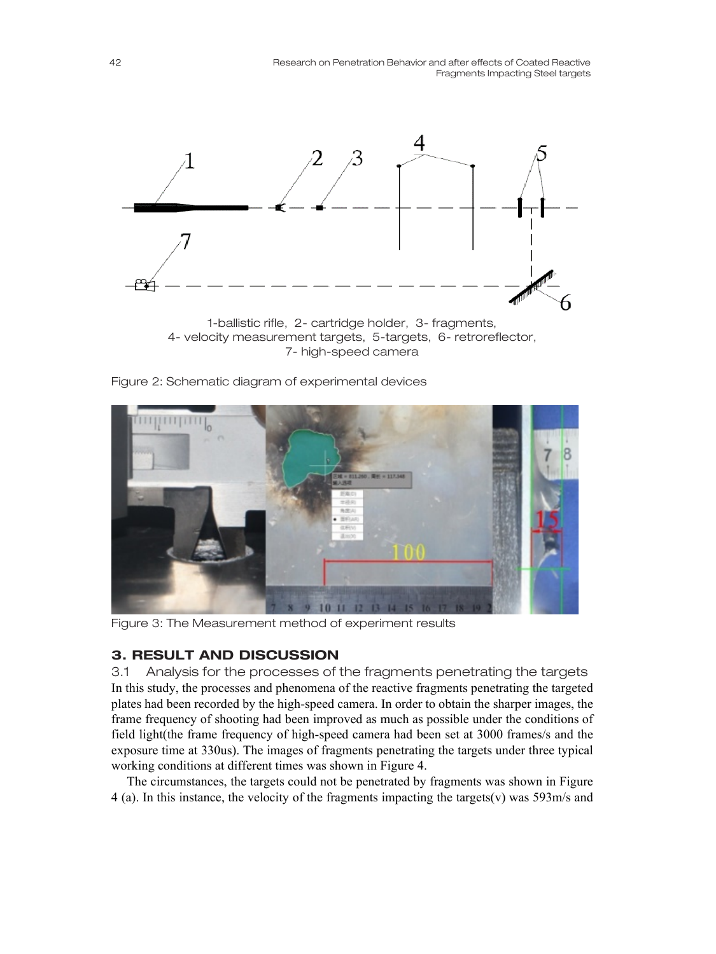

4- velocity measurement targets, 5-targets, 6- retroreflector, 7- high-speed camera

Figure 2: Schematic diagram of experimental devices



Figure 3: The Measurement method of experiment results

# 3. RESULT AND DISCUSSION

3.1 Analysis for the processes of the fragments penetrating the targets In this study, the processes and phenomena of the reactive fragments penetrating the targeted plates had been recorded by the high-speed camera. In order to obtain the sharper images, the frame frequency of shooting had been improved as much as possible under the conditions of field light(the frame frequency of high-speed camera had been set at 3000 frames/s and the exposure time at 330us). The images of fragments penetrating the targets under three typical working conditions at different times was shown in Figure 4.

The circumstances, the targets could not be penetrated by fragments was shown in Figure 4 (a). In this instance, the velocity of the fragments impacting the targets(v) was 593m/s and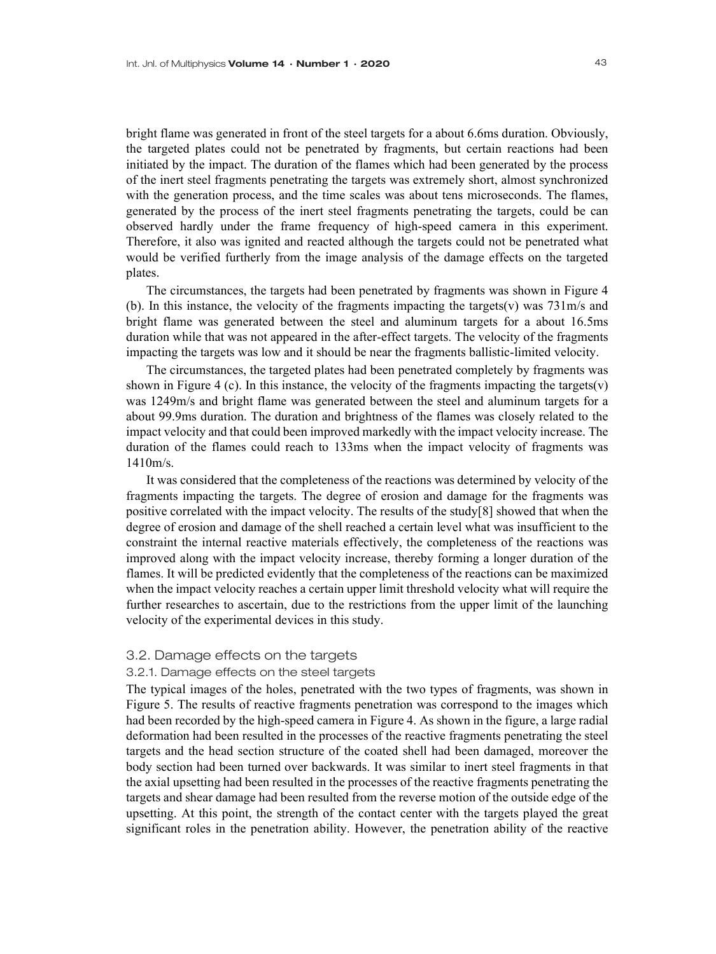bright flame was generated in front of the steel targets for a about 6.6ms duration. Obviously, the targeted plates could not be penetrated by fragments, but certain reactions had been initiated by the impact. The duration of the flames which had been generated by the process of the inert steel fragments penetrating the targets was extremely short, almost synchronized with the generation process, and the time scales was about tens microseconds. The flames, generated by the process of the inert steel fragments penetrating the targets, could be can observed hardly under the frame frequency of high-speed camera in this experiment. Therefore, it also was ignited and reacted although the targets could not be penetrated what would be verified furtherly from the image analysis of the damage effects on the targeted plates.

The circumstances, the targets had been penetrated by fragments was shown in Figure 4 (b). In this instance, the velocity of the fragments impacting the targets(v) was 731m/s and bright flame was generated between the steel and aluminum targets for a about 16.5ms duration while that was not appeared in the after-effect targets. The velocity of the fragments impacting the targets was low and it should be near the fragments ballistic-limited velocity.

The circumstances, the targeted plates had been penetrated completely by fragments was shown in Figure 4 (c). In this instance, the velocity of the fragments impacting the targets $(v)$ was 1249m/s and bright flame was generated between the steel and aluminum targets for a about 99.9ms duration. The duration and brightness of the flames was closely related to the impact velocity and that could been improved markedly with the impact velocity increase. The duration of the flames could reach to 133ms when the impact velocity of fragments was 1410m/s.

It was considered that the completeness of the reactions was determined by velocity of the fragments impacting the targets. The degree of erosion and damage for the fragments was positive correlated with the impact velocity. The results of the study[8] showed that when the degree of erosion and damage of the shell reached a certain level what was insufficient to the constraint the internal reactive materials effectively, the completeness of the reactions was improved along with the impact velocity increase, thereby forming a longer duration of the flames. It will be predicted evidently that the completeness of the reactions can be maximized when the impact velocity reaches a certain upper limit threshold velocity what will require the further researches to ascertain, due to the restrictions from the upper limit of the launching velocity of the experimental devices in this study.

#### 3.2. Damage effects on the targets

#### 3.2.1. Damage effects on the steel targets

The typical images of the holes, penetrated with the two types of fragments, was shown in Figure 5. The results of reactive fragments penetration was correspond to the images which had been recorded by the high-speed camera in Figure 4. As shown in the figure, a large radial deformation had been resulted in the processes of the reactive fragments penetrating the steel targets and the head section structure of the coated shell had been damaged, moreover the body section had been turned over backwards. It was similar to inert steel fragments in that the axial upsetting had been resulted in the processes of the reactive fragments penetrating the targets and shear damage had been resulted from the reverse motion of the outside edge of the upsetting. At this point, the strength of the contact center with the targets played the great significant roles in the penetration ability. However, the penetration ability of the reactive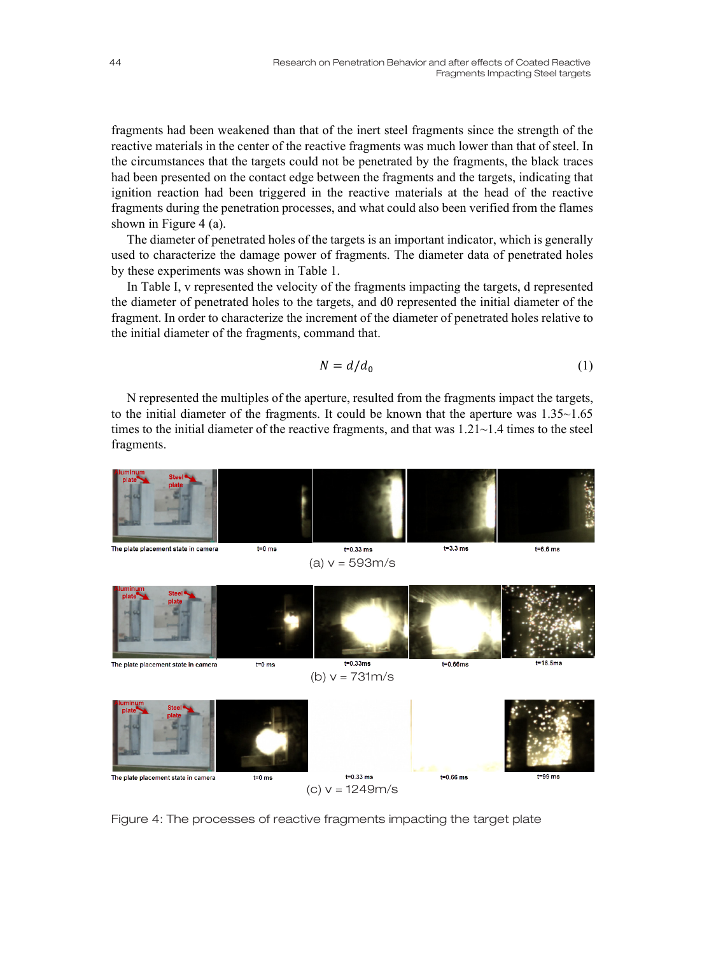fragments had been weakened than that of the inert steel fragments since the strength of the reactive materials in the center of the reactive fragments was much lower than that of steel. In the circumstances that the targets could not be penetrated by the fragments, the black traces had been presented on the contact edge between the fragments and the targets, indicating that ignition reaction had been triggered in the reactive materials at the head of the reactive fragments during the penetration processes, and what could also been verified from the flames shown in Figure 4 (a).

The diameter of penetrated holes of the targets is an important indicator, which is generally used to characterize the damage power of fragments. The diameter data of penetrated holes by these experiments was shown in Table 1.

In Table I, v represented the velocity of the fragments impacting the targets, d represented the diameter of penetrated holes to the targets, and d0 represented the initial diameter of the fragment. In order to characterize the increment of the diameter of penetrated holes relative to the initial diameter of the fragments, command that.

$$
N = d/d_0 \tag{1}
$$

N represented the multiples of the aperture, resulted from the fragments impact the targets, to the initial diameter of the fragments. It could be known that the aperture was 1.35~1.65 times to the initial diameter of the reactive fragments, and that was  $1.21 \sim 1.4$  times to the steel fragments.



Figure 4: The processes of reactive fragments impacting the target plate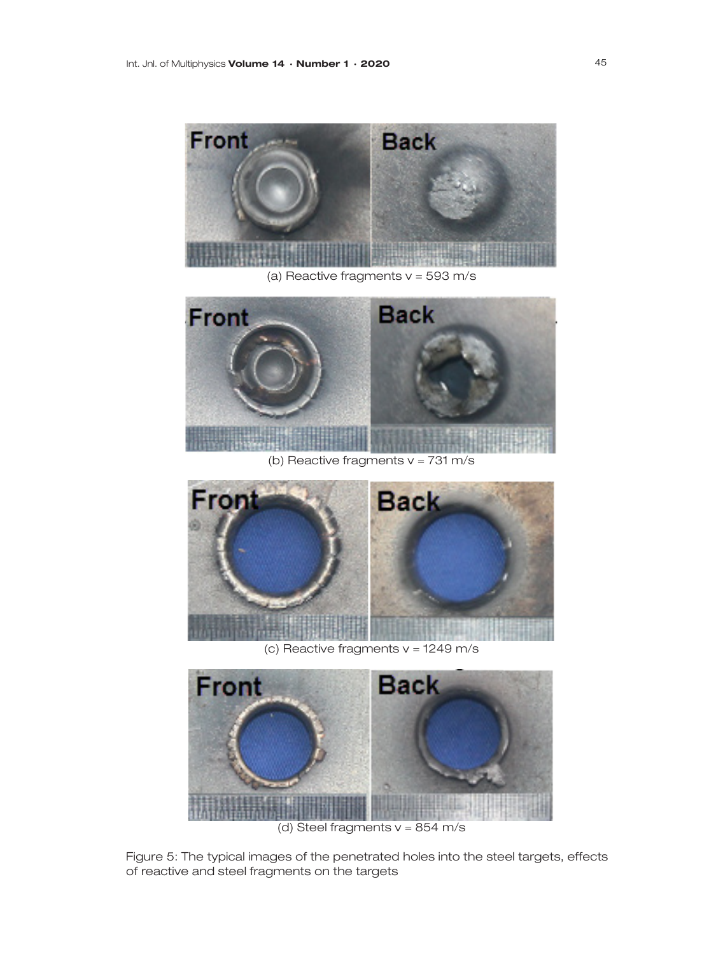

(a) Reactive fragments  $v = 593$  m/s



(b) Reactive fragments  $v = 731 \text{ m/s}$ 



(c) Reactive fragments v = 1249 m/s



(d) Steel fragments  $v = 854$  m/s

Figure 5: The typical images of the penetrated holes into the steel targets, effects of reactive and steel fragments on the targets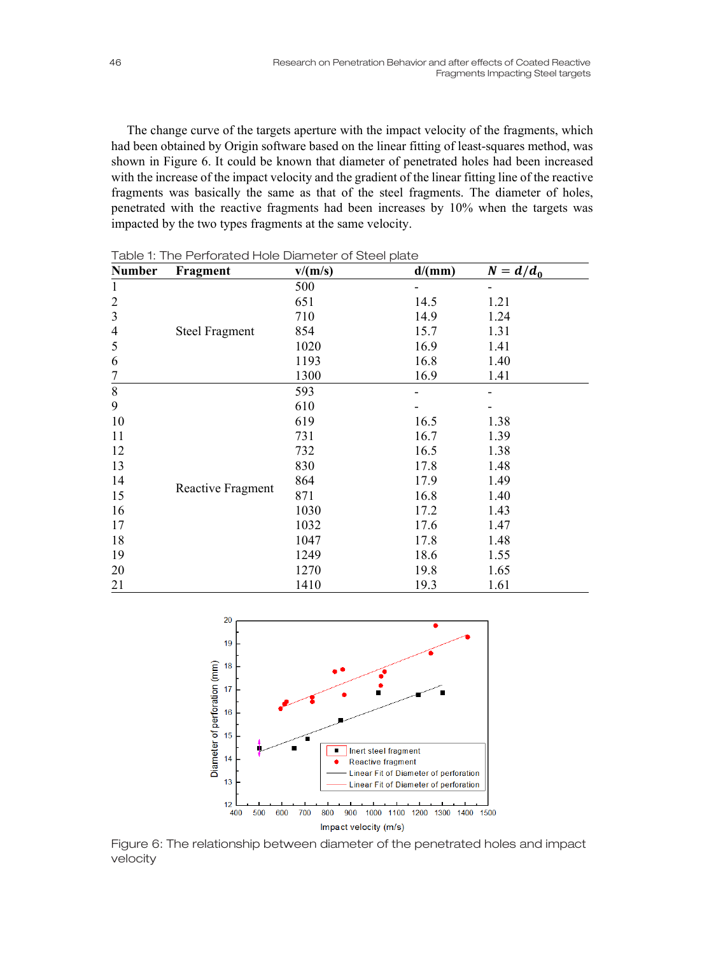The change curve of the targets aperture with the impact velocity of the fragments, which had been obtained by Origin software based on the linear fitting of least-squares method, was shown in Figure 6. It could be known that diameter of penetrated holes had been increased with the increase of the impact velocity and the gradient of the linear fitting line of the reactive fragments was basically the same as that of the steel fragments. The diameter of holes, penetrated with the reactive fragments had been increases by 10% when the targets was impacted by the two types fragments at the same velocity.

| <b>Number</b>  | Fragment              | v/(m/s) | d/(mm) | $N = d/d_0$ |
|----------------|-----------------------|---------|--------|-------------|
| 1              | <b>Steel Fragment</b> | 500     |        |             |
| $\overline{c}$ |                       | 651     | 14.5   | 1.21        |
| $\overline{3}$ |                       | 710     | 14.9   | 1.24        |
| $\overline{4}$ |                       | 854     | 15.7   | 1.31        |
| 5              |                       | 1020    | 16.9   | 1.41        |
| 6              |                       | 1193    | 16.8   | 1.40        |
| 7              |                       | 1300    | 16.9   | 1.41        |
| $8\,$          | Reactive Fragment     | 593     |        |             |
| 9              |                       | 610     |        |             |
| 10             |                       | 619     | 16.5   | 1.38        |
| 11             |                       | 731     | 16.7   | 1.39        |
| 12             |                       | 732     | 16.5   | 1.38        |
| 13             |                       | 830     | 17.8   | 1.48        |
| 14             |                       | 864     | 17.9   | 1.49        |
| 15             |                       | 871     | 16.8   | 1.40        |
| 16             |                       | 1030    | 17.2   | 1.43        |
| 17             |                       | 1032    | 17.6   | 1.47        |
| 18             |                       | 1047    | 17.8   | 1.48        |
| 19             |                       | 1249    | 18.6   | 1.55        |
| 20             |                       | 1270    | 19.8   | 1.65        |
| 21             |                       | 1410    | 19.3   | 1.61        |

Table 1: The Perforated Hole Diameter of Steel plate



Figure 6: The relationship between diameter of the penetrated holes and impact velocity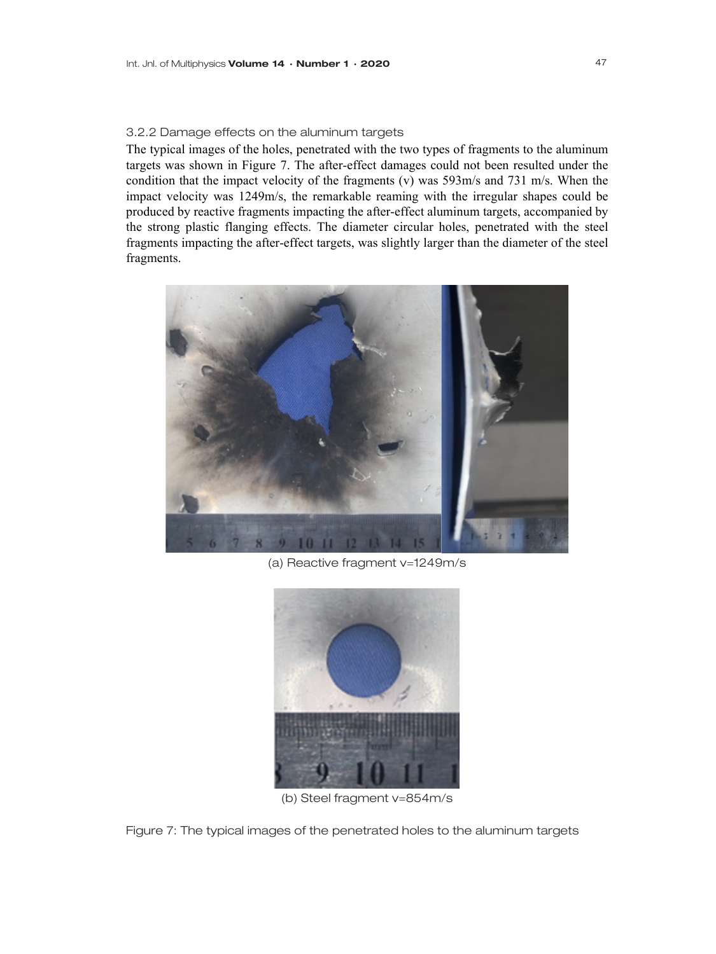#### 3.2.2 Damage effects on the aluminum targets

The typical images of the holes, penetrated with the two types of fragments to the aluminum targets was shown in Figure 7. The after-effect damages could not been resulted under the condition that the impact velocity of the fragments (v) was 593m/s and 731 m/s. When the impact velocity was 1249m/s, the remarkable reaming with the irregular shapes could be produced by reactive fragments impacting the after-effect aluminum targets, accompanied by the strong plastic flanging effects. The diameter circular holes, penetrated with the steel fragments impacting the after-effect targets, was slightly larger than the diameter of the steel fragments.



(a) Reactive fragment v=1249m/s



(b) Steel fragment v=854m/s

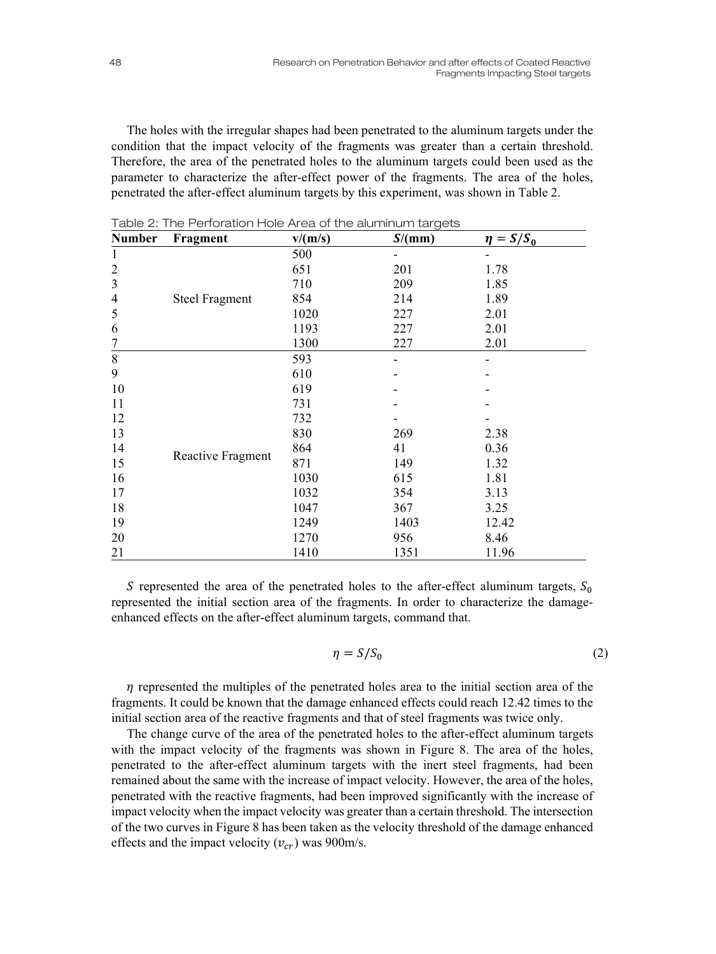The holes with the irregular shapes had been penetrated to the aluminum targets under the condition that the impact velocity of the fragments was greater than a certain threshold. Therefore, the area of the penetrated holes to the aluminum targets could been used as the parameter to characterize the after-effect power of the fragments. The area of the holes, penetrated the after-effect aluminum targets by this experiment, was shown in Table 2.

| Number           | Fragment              | v/(m/s) | S/(mm) | $\eta = S/S_0$ |
|------------------|-----------------------|---------|--------|----------------|
| 1                | <b>Steel Fragment</b> | 500     |        |                |
| $\boldsymbol{2}$ |                       | 651     | 201    | 1.78           |
| $\mathfrak{Z}$   |                       | 710     | 209    | 1.85           |
| $\overline{4}$   |                       | 854     | 214    | 1.89           |
| 5                |                       | 1020    | 227    | 2.01           |
| 6                |                       | 1193    | 227    | 2.01           |
| $\frac{7}{8}$    |                       | 1300    | 227    | 2.01           |
|                  | Reactive Fragment     | 593     |        |                |
| 9                |                       | 610     |        |                |
| 10               |                       | 619     |        |                |
| 11               |                       | 731     |        |                |
| 12               |                       | 732     |        |                |
| 13               |                       | 830     | 269    | 2.38           |
| 14               |                       | 864     | 41     | 0.36           |
| 15               |                       | 871     | 149    | 1.32           |
| 16               |                       | 1030    | 615    | 1.81           |
| 17               |                       | 1032    | 354    | 3.13           |
| 18               |                       | 1047    | 367    | 3.25           |
| 19               |                       | 1249    | 1403   | 12.42          |
| 20               |                       | 1270    | 956    | 8.46           |
| 21               |                       | 1410    | 1351   | 11.96          |

Table 2: The Perforation Hole Area of the aluminum targets

S represented the area of the penetrated holes to the after-effect aluminum targets,  $S_0$ represented the initial section area of the fragments. In order to characterize the damageenhanced effects on the after-effect aluminum targets, command that.

$$
\eta = S/S_0 \tag{2}
$$

 $\eta$  represented the multiples of the penetrated holes area to the initial section area of the fragments. It could be known that the damage enhanced effects could reach 12.42 times to the initial section area of the reactive fragments and that of steel fragments was twice only.

The change curve of the area of the penetrated holes to the after-effect aluminum targets with the impact velocity of the fragments was shown in Figure 8. The area of the holes, penetrated to the after-effect aluminum targets with the inert steel fragments, had been remained about the same with the increase of impact velocity. However, the area of the holes, penetrated with the reactive fragments, had been improved significantly with the increase of impact velocity when the impact velocity was greater than a certain threshold. The intersection of the two curves in Figure 8 has been taken as the velocity threshold of the damage enhanced effects and the impact velocity  $(v_{cr})$  was 900m/s.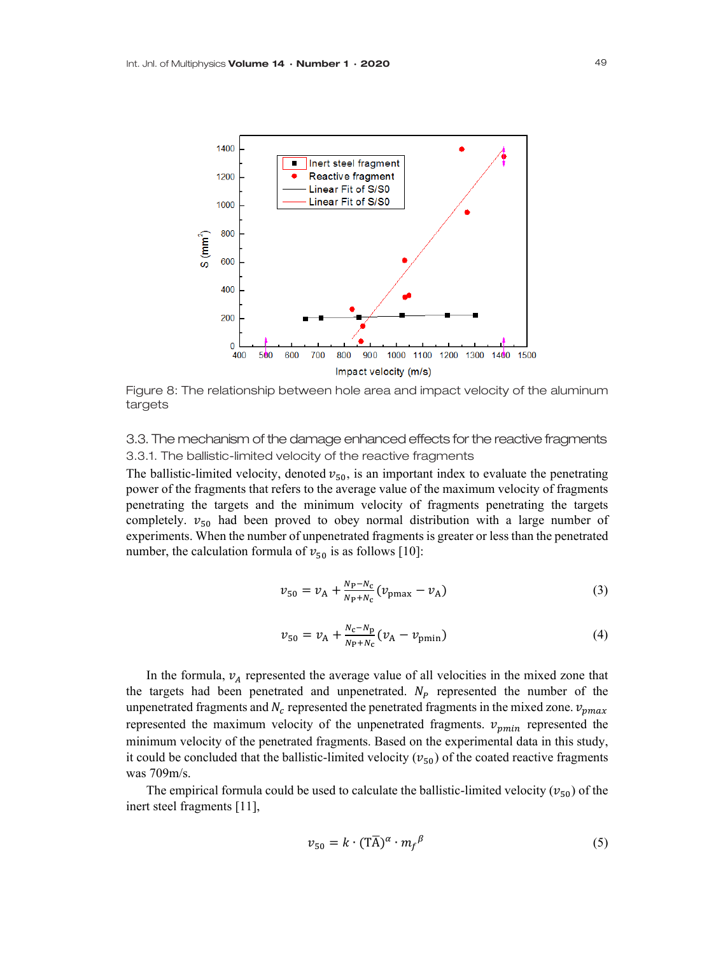

Figure 8: The relationship between hole area and impact velocity of the aluminum targets

3.3. The mechanism of the damage enhanced effects for the reactive fragments 3.3.1. The ballistic-limited velocity of the reactive fragments

The ballistic-limited velocity, denoted  $v_{50}$ , is an important index to evaluate the penetrating power of the fragments that refers to the average value of the maximum velocity of fragments penetrating the targets and the minimum velocity of fragments penetrating the targets completely.  $v_{50}$  had been proved to obey normal distribution with a large number of experiments. When the number of unpenetrated fragments is greater or less than the penetrated number, the calculation formula of  $v_{50}$  is as follows [10]:

$$
v_{50} = v_A + \frac{N_P - N_C}{N_P + N_C} (v_{\text{pmax}} - v_A)
$$
 (3)

$$
v_{50} = v_{A} + \frac{N_{c} - N_{p}}{N_{P} + N_{c}} (v_{A} - v_{pmin})
$$
\n(4)

In the formula,  $v_A$  represented the average value of all velocities in the mixed zone that the targets had been penetrated and unpenetrated.  $N_p$  represented the number of the unpenetrated fragments and  $N_c$  represented the penetrated fragments in the mixed zone.  $v_{pmax}$ represented the maximum velocity of the unpenetrated fragments.  $v_{pmin}$  represented the minimum velocity of the penetrated fragments. Based on the experimental data in this study, it could be concluded that the ballistic-limited velocity ( $v_{50}$ ) of the coated reactive fragments was 709m/s.

The empirical formula could be used to calculate the ballistic-limited velocity ( $v_{50}$ ) of the inert steel fragments [11],

$$
v_{50} = k \cdot (T\overline{A})^{\alpha} \cdot m_f^{\beta} \tag{5}
$$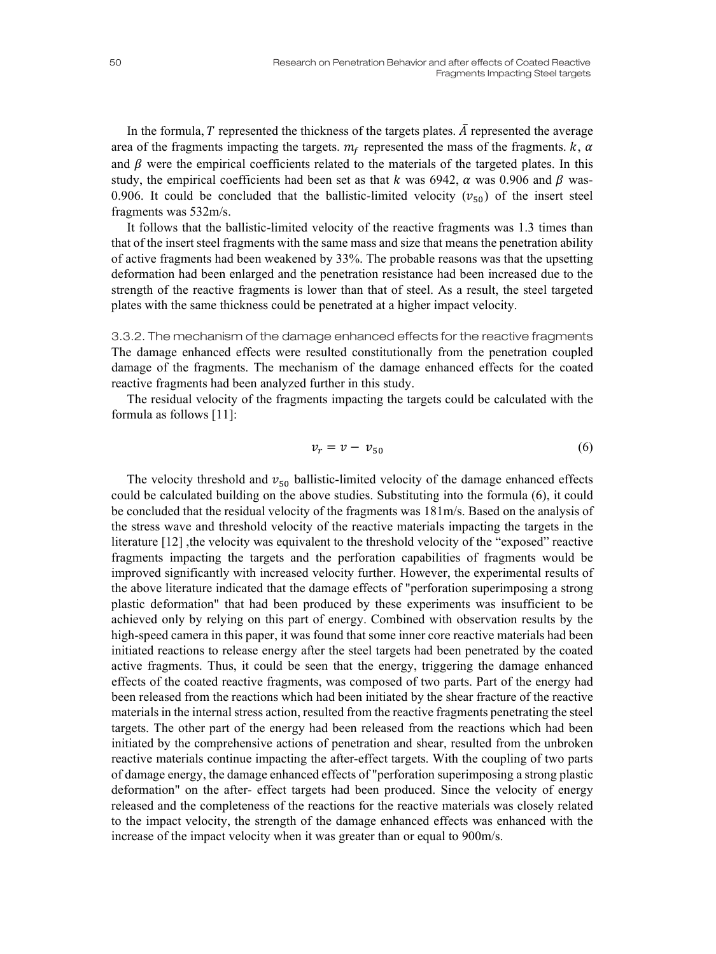In the formula,  $T$  represented the thickness of the targets plates.  $\overline{A}$  represented the average area of the fragments impacting the targets.  $m_f$  represented the mass of the fragments.  $k$ ,  $\alpha$ and  $\beta$  were the empirical coefficients related to the materials of the targeted plates. In this study, the empirical coefficients had been set as that k was 6942,  $\alpha$  was 0.906 and  $\beta$  was-0.906. It could be concluded that the ballistic-limited velocity  $(v_{50})$  of the insert steel fragments was 532m/s.

It follows that the ballistic-limited velocity of the reactive fragments was 1.3 times than that of the insert steel fragments with the same mass and size that means the penetration ability of active fragments had been weakened by 33%. The probable reasons was that the upsetting deformation had been enlarged and the penetration resistance had been increased due to the strength of the reactive fragments is lower than that of steel. As a result, the steel targeted plates with the same thickness could be penetrated at a higher impact velocity.

3.3.2. The mechanism of the damage enhanced effects for the reactive fragments The damage enhanced effects were resulted constitutionally from the penetration coupled damage of the fragments. The mechanism of the damage enhanced effects for the coated reactive fragments had been analyzed further in this study.

The residual velocity of the fragments impacting the targets could be calculated with the formula as follows [11]:

$$
v_r = v - v_{50} \tag{6}
$$

The velocity threshold and  $v_{50}$  ballistic-limited velocity of the damage enhanced effects could be calculated building on the above studies. Substituting into the formula (6), it could be concluded that the residual velocity of the fragments was 181m/s. Based on the analysis of the stress wave and threshold velocity of the reactive materials impacting the targets in the literature [12] , the velocity was equivalent to the threshold velocity of the "exposed" reactive fragments impacting the targets and the perforation capabilities of fragments would be improved significantly with increased velocity further. However, the experimental results of the above literature indicated that the damage effects of "perforation superimposing a strong plastic deformation" that had been produced by these experiments was insufficient to be achieved only by relying on this part of energy. Combined with observation results by the high-speed camera in this paper, it was found that some inner core reactive materials had been initiated reactions to release energy after the steel targets had been penetrated by the coated active fragments. Thus, it could be seen that the energy, triggering the damage enhanced effects of the coated reactive fragments, was composed of two parts. Part of the energy had been released from the reactions which had been initiated by the shear fracture of the reactive materials in the internal stress action, resulted from the reactive fragments penetrating the steel targets. The other part of the energy had been released from the reactions which had been initiated by the comprehensive actions of penetration and shear, resulted from the unbroken reactive materials continue impacting the after-effect targets. With the coupling of two parts of damage energy, the damage enhanced effects of "perforation superimposing a strong plastic deformation" on the after- effect targets had been produced. Since the velocity of energy released and the completeness of the reactions for the reactive materials was closely related to the impact velocity, the strength of the damage enhanced effects was enhanced with the increase of the impact velocity when it was greater than or equal to 900m/s.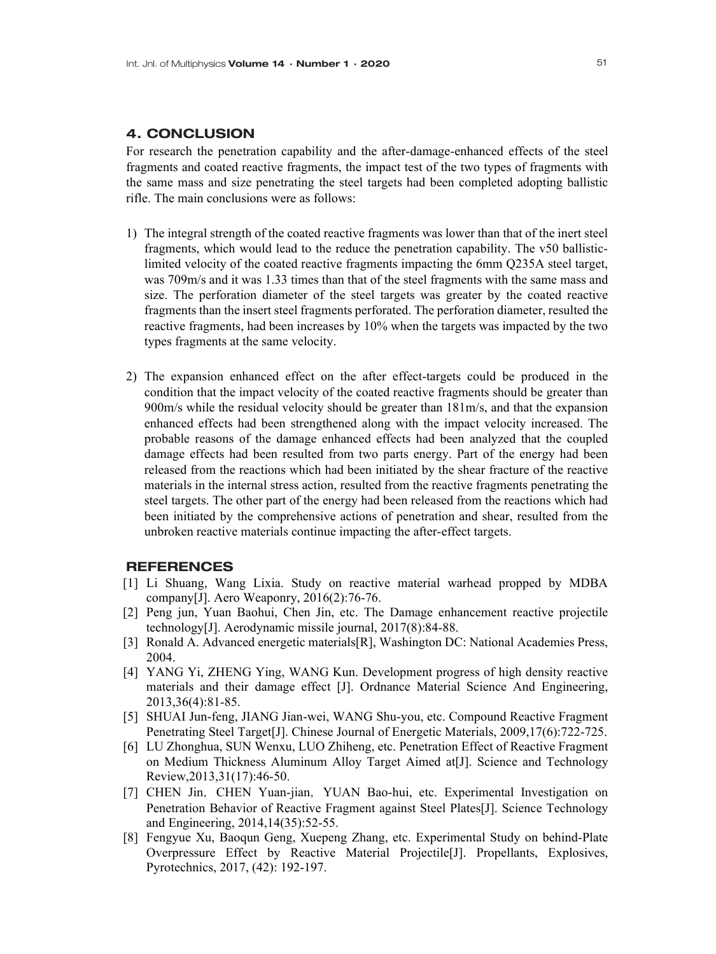#### 4. CONCLUSION

For research the penetration capability and the after-damage-enhanced effects of the steel fragments and coated reactive fragments, the impact test of the two types of fragments with the same mass and size penetrating the steel targets had been completed adopting ballistic rifle. The main conclusions were as follows:

- 1) The integral strength of the coated reactive fragments was lower than that of the inert steel fragments, which would lead to the reduce the penetration capability. The v50 ballisticlimited velocity of the coated reactive fragments impacting the 6mm Q235A steel target, was 709m/s and it was 1.33 times than that of the steel fragments with the same mass and size. The perforation diameter of the steel targets was greater by the coated reactive fragments than the insert steel fragments perforated. The perforation diameter, resulted the reactive fragments, had been increases by 10% when the targets was impacted by the two types fragments at the same velocity.
- 2) The expansion enhanced effect on the after effect-targets could be produced in the condition that the impact velocity of the coated reactive fragments should be greater than 900m/s while the residual velocity should be greater than 181m/s, and that the expansion enhanced effects had been strengthened along with the impact velocity increased. The probable reasons of the damage enhanced effects had been analyzed that the coupled damage effects had been resulted from two parts energy. Part of the energy had been released from the reactions which had been initiated by the shear fracture of the reactive materials in the internal stress action, resulted from the reactive fragments penetrating the steel targets. The other part of the energy had been released from the reactions which had been initiated by the comprehensive actions of penetration and shear, resulted from the unbroken reactive materials continue impacting the after-effect targets.

# **REFERENCES**

- [1] Li Shuang, Wang Lixia. Study on reactive material warhead propped by MDBA company[J]. Aero Weaponry, 2016(2):76-76.
- [2] Peng jun, Yuan Baohui, Chen Jin, etc. The Damage enhancement reactive projectile technology[J]. Aerodynamic missile journal, 2017(8):84-88.
- [3] Ronald A. Advanced energetic materials[R], Washington DC: National Academies Press, 2004.
- [4] YANG Yi, ZHENG Ying, WANG Kun. Development progress of high density reactive materials and their damage effect [J]. Ordnance Material Science And Engineering, 2013,36(4):81-85.
- [5] SHUAI Jun-feng, JIANG Jian-wei, WANG Shu-you, etc. Compound Reactive Fragment Penetrating Steel Target[J]. Chinese Journal of Energetic Materials, 2009,17(6):722-725.
- [6] LU Zhonghua, SUN Wenxu, LUO Zhiheng, etc. Penetration Effect of Reactive Fragment on Medium Thickness Aluminum Alloy Target Aimed at[J]. Science and Technology Review,2013,31(17):46-50.
- [7] CHEN Jin, CHEN Yuan-jian, YUAN Bao-hui, etc. Experimental Investigation on Penetration Behavior of Reactive Fragment against Steel Plates[J]. Science Technology and Engineering, 2014,14(35):52-55.
- [8] Fengyue Xu, Baoqun Geng, Xuepeng Zhang, etc. Experimental Study on behind-Plate Overpressure Effect by Reactive Material Projectile[J]. Propellants, Explosives, Pyrotechnics, 2017, (42): 192-197.